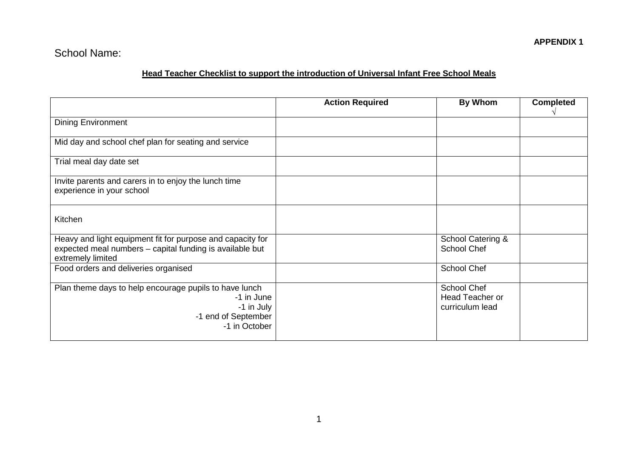# School Name:

## **Head Teacher Checklist to support the introduction of Universal Infant Free School Meals**

|                                                                                                                                             | <b>Action Required</b> | <b>By Whom</b>                                           | <b>Completed</b> |
|---------------------------------------------------------------------------------------------------------------------------------------------|------------------------|----------------------------------------------------------|------------------|
| <b>Dining Environment</b>                                                                                                                   |                        |                                                          |                  |
| Mid day and school chef plan for seating and service                                                                                        |                        |                                                          |                  |
| Trial meal day date set                                                                                                                     |                        |                                                          |                  |
| Invite parents and carers in to enjoy the lunch time<br>experience in your school                                                           |                        |                                                          |                  |
| Kitchen                                                                                                                                     |                        |                                                          |                  |
| Heavy and light equipment fit for purpose and capacity for<br>expected meal numbers - capital funding is available but<br>extremely limited |                        | School Catering &<br><b>School Chef</b>                  |                  |
| Food orders and deliveries organised                                                                                                        |                        | School Chef                                              |                  |
| Plan theme days to help encourage pupils to have lunch<br>-1 in June<br>-1 in July<br>-1 end of September<br>-1 in October                  |                        | School Chef<br><b>Head Teacher or</b><br>curriculum lead |                  |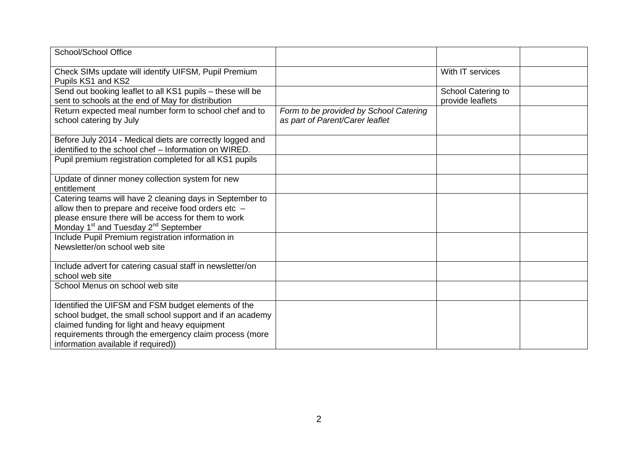| School/School Office                                                                                                                                                                                                                                               |                                                                           |                                               |  |
|--------------------------------------------------------------------------------------------------------------------------------------------------------------------------------------------------------------------------------------------------------------------|---------------------------------------------------------------------------|-----------------------------------------------|--|
| Check SIMs update will identify UIFSM, Pupil Premium<br>Pupils KS1 and KS2                                                                                                                                                                                         |                                                                           | With IT services                              |  |
| Send out booking leaflet to all KS1 pupils - these will be<br>sent to schools at the end of May for distribution                                                                                                                                                   |                                                                           | <b>School Catering to</b><br>provide leaflets |  |
| Return expected meal number form to school chef and to<br>school catering by July                                                                                                                                                                                  | Form to be provided by School Catering<br>as part of Parent/Carer leaflet |                                               |  |
| Before July 2014 - Medical diets are correctly logged and<br>identified to the school chef - Information on WIRED.                                                                                                                                                 |                                                                           |                                               |  |
| Pupil premium registration completed for all KS1 pupils                                                                                                                                                                                                            |                                                                           |                                               |  |
| Update of dinner money collection system for new<br>entitlement                                                                                                                                                                                                    |                                                                           |                                               |  |
| Catering teams will have 2 cleaning days in September to<br>allow then to prepare and receive food orders etc -<br>please ensure there will be access for them to work<br>Monday 1 <sup>st</sup> and Tuesday 2 <sup>nd</sup> September                             |                                                                           |                                               |  |
| Include Pupil Premium registration information in<br>Newsletter/on school web site                                                                                                                                                                                 |                                                                           |                                               |  |
| Include advert for catering casual staff in newsletter/on<br>school web site                                                                                                                                                                                       |                                                                           |                                               |  |
| School Menus on school web site                                                                                                                                                                                                                                    |                                                                           |                                               |  |
| Identified the UIFSM and FSM budget elements of the<br>school budget, the small school support and if an academy<br>claimed funding for light and heavy equipment<br>requirements through the emergency claim process (more<br>information available if required)) |                                                                           |                                               |  |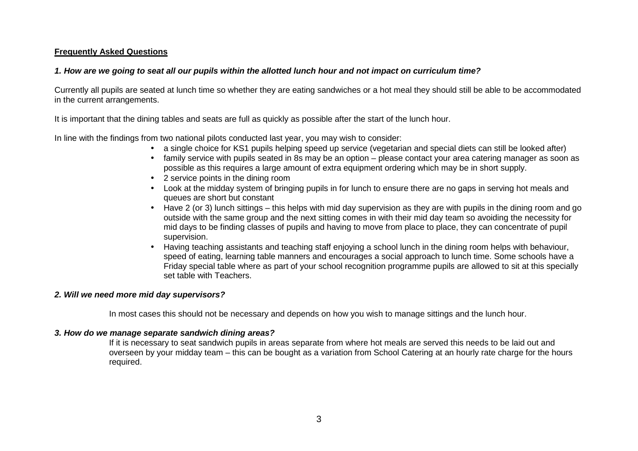## **Frequently Asked Questions**

## **1. How are we going to seat all our pupils within the allotted lunch hour and not impact on curriculum time?**

Currently all pupils are seated at lunch time so whether they are eating sandwiches or a hot meal they should still be able to be accommodated in the current arrangements.

It is important that the dining tables and seats are full as quickly as possible after the start of the lunch hour.

In line with the findings from two national pilots conducted last year, you may wish to consider:

- a single choice for KS1 pupils helping speed up service (vegetarian and special diets can still be looked after)
- family service with pupils seated in 8s may be an option please contact your area catering manager as soon as possible as this requires a large amount of extra equipment ordering which may be in short supply.
- 2 service points in the dining room
- Look at the midday system of bringing pupils in for lunch to ensure there are no gaps in serving hot meals and queues are short but constant
- Have 2 (or 3) lunch sittings this helps with mid day supervision as they are with pupils in the dining room and go outside with the same group and the next sitting comes in with their mid day team so avoiding the necessity for mid days to be finding classes of pupils and having to move from place to place, they can concentrate of pupil supervision.
- Having teaching assistants and teaching staff enjoying a school lunch in the dining room helps with behaviour, speed of eating, learning table manners and encourages a social approach to lunch time. Some schools have a Friday special table where as part of your school recognition programme pupils are allowed to sit at this specially set table with Teachers.

## **2. Will we need more mid day supervisors?**

In most cases this should not be necessary and depends on how you wish to manage sittings and the lunch hour.

## **3. How do we manage separate sandwich dining areas?**

 If it is necessary to seat sandwich pupils in areas separate from where hot meals are served this needs to be laid out and overseen by your midday team – this can be bought as a variation from School Catering at an hourly rate charge for the hours required.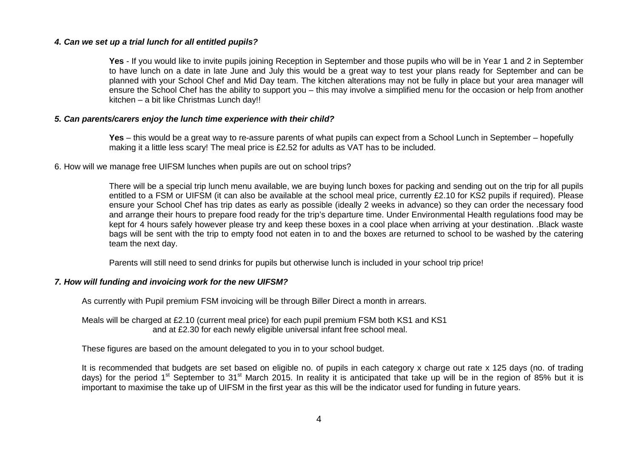#### **4. Can we set up a trial lunch for all entitled pupils?**

**Yes** - If you would like to invite pupils joining Reception in September and those pupils who will be in Year 1 and 2 in September to have lunch on a date in late June and July this would be a great way to test your plans ready for September and can be planned with your School Chef and Mid Day team. The kitchen alterations may not be fully in place but your area manager will ensure the School Chef has the ability to support you – this may involve a simplified menu for the occasion or help from another kitchen – a bit like Christmas Lunch day!!

#### **5. Can parents/carers enjoy the lunch time experience with their child?**

**Yes** – this would be a great way to re-assure parents of what pupils can expect from a School Lunch in September – hopefully making it a little less scary! The meal price is £2.52 for adults as VAT has to be included.

#### 6. How will we manage free UIFSM lunches when pupils are out on school trips?

There will be a special trip lunch menu available, we are buying lunch boxes for packing and sending out on the trip for all pupils entitled to a FSM or UIFSM (it can also be available at the school meal price, currently £2.10 for KS2 pupils if required). Please ensure your School Chef has trip dates as early as possible (ideally 2 weeks in advance) so they can order the necessary food and arrange their hours to prepare food ready for the trip's departure time. Under Environmental Health regulations food may be kept for 4 hours safely however please try and keep these boxes in a cool place when arriving at your destination. .Black waste bags will be sent with the trip to empty food not eaten in to and the boxes are returned to school to be washed by the catering team the next day.

Parents will still need to send drinks for pupils but otherwise lunch is included in your school trip price!

#### **7. How will funding and invoicing work for the new UIFSM?**

As currently with Pupil premium FSM invoicing will be through Biller Direct a month in arrears.

 Meals will be charged at £2.10 (current meal price) for each pupil premium FSM both KS1 and KS1 and at £2.30 for each newly eligible universal infant free school meal.

These figures are based on the amount delegated to you in to your school budget.

It is recommended that budgets are set based on eligible no. of pupils in each category x charge out rate x 125 days (no. of trading days) for the period 1<sup>st</sup> September to 31<sup>st</sup> March 2015. In reality it is anticipated that take up will be in the region of 85% but it is important to maximise the take up of UIFSM in the first year as this will be the indicator used for funding in future years.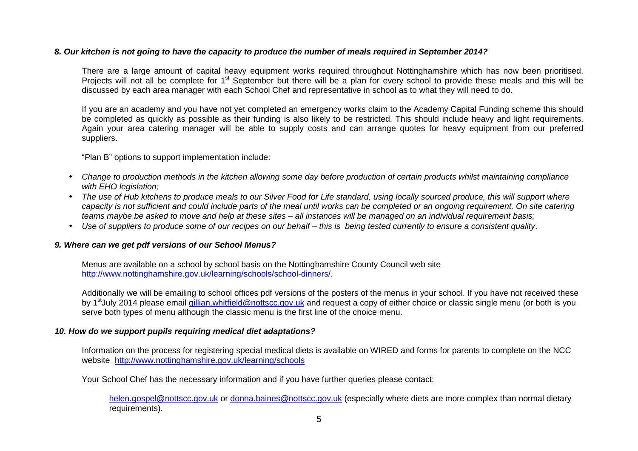#### **8. Our kitchen is not going to have the capacity to produce the number of meals required in September 2014?**

There are a large amount of capital heavy equipment works required throughout Nottinghamshire which has now been prioritised. Projects will not all be complete for 1<sup>st</sup> September but there will be a plan for every school to provide these meals and this will be discussed by each area manager with each School Chef and representative in school as to what they will need to do.

If you are an academy and you have not yet completed an emergency works claim to the Academy Capital Funding scheme this should be completed as quickly as possible as their funding is also likely to be restricted. This should include heavy and light requirements. Again your area catering manager will be able to supply costs and can arrange quotes for heavy equipment from our preferred suppliers.

"Plan B" options to support implementation include:

- Change to production methods in the kitchen allowing some day before production of certain products whilst maintaining compliance with EHO leaislation:
- The use of Hub kitchens to produce meals to our Silver Food for Life standard, using locally sourced produce, this will support where capacity is not sufficient and could include parts of the meal until works can be completed or an ongoing requirement. On site catering teams maybe be asked to move and help at these sites – all instances will be managed on an individual requirement basis;
- Use of suppliers to produce some of our recipes on our behalf this is being tested currently to ensure a consistent quality.

## **9. Where can we get pdf versions of our School Menus?**

 Menus are available on a school by school basis on the Nottinghamshire County Council web site http://www.nottinghamshire.gov.uk/learning/schools/school-dinners/.

Additionally we will be emailing to school offices pdf versions of the posters of the menus in your school. If you have not received these by 1<sup>st</sup>July 2014 please email gillian.whitfield@nottscc.gov.uk and request a copy of either choice or classic single menu (or both is you serve both types of menu although the classic menu is the first line of the choice menu.

## **10. How do we support pupils requiring medical diet adaptations?**

Information on the process for registering special medical diets is available on WIRED and forms for parents to complete on the NCC website http://www.nottinghamshire.gov.uk/learning/schools

Your School Chef has the necessary information and if you have further queries please contact:

helen.gospel@nottscc.gov.uk or donna.baines@nottscc.gov.uk (especially where diets are more complex than normal dietary requirements).